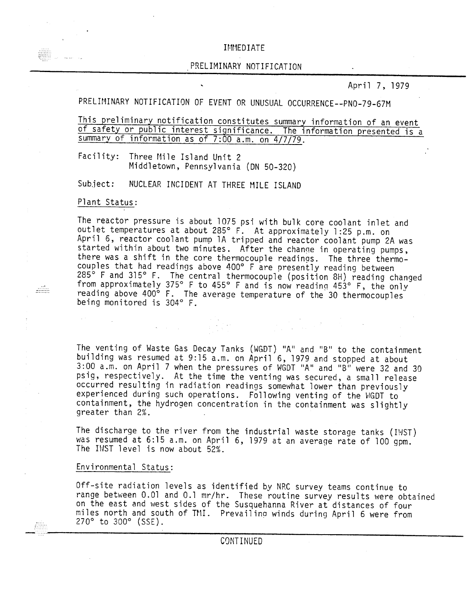## IMMEDIATE

#### PRELIMINARY NOTIFICATION

April 7, 1979

PRELIMINARY NOTIFICATION OF EVENT OR UNUSUAL OCCURRENCE--PNO-79-67M

This preliminary notification constitutes summary information of an event of safety or public interest significance. The information presented is a summary of information as of 7:00 a.m. on 4/7/79.

Facility: Three Mile Island Unit 2 Middletown, Pennsylvania (ON 50-320)

Subject: NUCLEAR INCIDENT AT THREE MILE ISLAND

## Plant Status:

 $\frac{1}{1}$ 

 $\sim 10$ 

The reactor pressure is about 1075 psi with bulk core coolant inlet and outlet temperatures at about 285<sup>0</sup> F. At approximately 1 :25 p.m. on April 6, reactor coolant pump 1A tripped and reactor coolant pump 2A was started within about two minutes. After the chanqe in operating pumps, there was a shift in the core thermocouple readings. The three thermocouples that had readings above 400° F are presently reading between 285<sup>°</sup> F and 315° F. The central thermocouple (position 8H) reading changed from approximately 375° F to 455° F and is now reading 453° F, the only reading above 400° F. The average temperature of the 30 thermocouple being monitored is 304° F.

The venting of Waste Gas Decay Tanks (WGDT) "A" and "B" to the containment building was resumed at 9:15 a.m. on April 6, 1979 and stopped at about 3:00 a.m. on April 7 when the pressures of HGDT "A" and "B" were 32 and 30 psig, respectively. At the time the venting was secured, a small release occurred resulting in radiation readings somewhat lower than previously experienced during such operations. Following venting of the WGOT to containment, the hydrogen concentration in the containment was slightly greater than 2%.

The discharge to the river from the industrial waste storage tanks (IWST) was resumed at 6:15 a.m. on April 6, 1979 at an average rate of 100 gpm. The IWST level is now about 52%.

#### Environmental Status:

Off-site radiation levels as identified by NRC survey teams continue to range between 0.01 and 0.1 mr/hr. These routine survey results were obtained on the east and west sides of the Susquehanna River at distances of four miles north and south of TMI. Prevailing winds during April 6 were from  $270^{\circ}$  to  $300^{\circ}$  (SSE).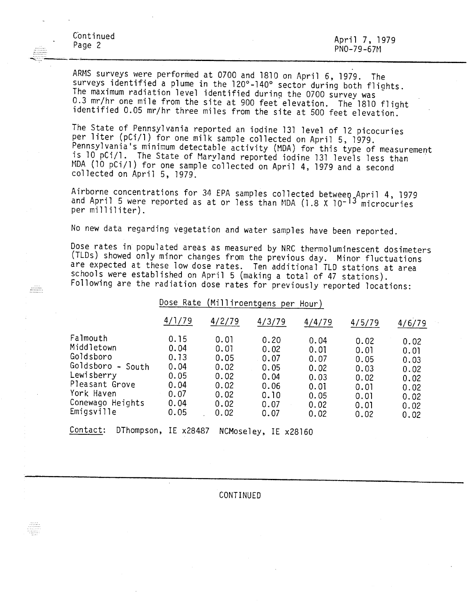riili

ARMS surveys were performed at 0700 and 1810 on April 6, 1979. The surveys identified a plume in the 120°-140° sector during both flights. The maximum radiation level identified during the 0700 survey was 0.3 mr/hr one mile from the site at 900 feet elevation. The 1810 flight identified 0.05 mr/hr three miles from the site at 500 feet elevation.

The State of Pennsylvania reported an iodine 131 level of 12 picocuries per liter (pCi/l) for one milk sample collected on April 5, 1979. Pennsylvania's minimum detectable activity (MDA) for this type of measurement is 10 pCi/1. The State of Maryland reported iodine 131 levels less than MDA (10 pCi/l) for one sample collected on April 4, 1979 and a second collected on April 5, 1979.

Airborne concentrations for 34 EPA samples collected between April 4, 1979 and April 5 were reported as at or less than MDA (1.8 X 10<sup>-13</sup> microcurie per mi 11iliter) .

No new data regarding vegetation and water samples have been reported.

Dose rates in populated areas as measured by NRC thermoluminescent dosimeters (TLDs) showed only minor changes from the previous day. Minor fluctuations are expected at these low dose rates. Ten additional TLD stations at area schools were established on April 5 (making a total of 47 stations). Following are the radiation dose rates for previously reported locations:

Dose Rate (Milliroentgens per Hour)

|                                                                                                                                             | 4/1/79                                                               | 4/2/79                                                               | 4/3/79                                                               | 4/4/79                                                               | 4/5/79                                                               | 4/6/79                                                               |
|---------------------------------------------------------------------------------------------------------------------------------------------|----------------------------------------------------------------------|----------------------------------------------------------------------|----------------------------------------------------------------------|----------------------------------------------------------------------|----------------------------------------------------------------------|----------------------------------------------------------------------|
| Falmouth<br>Middletown<br>Goldsboro<br>Goldsboro<br>- South<br>Lewisberry<br>Pleasant Grove<br>York Haven<br>Conewago Heights<br>Emigsville | 0.15<br>0.04<br>0.13<br>0.04<br>0.05<br>0.04<br>0.07<br>0.04<br>0.05 | 0.01<br>0.01<br>0.05<br>0.02<br>0.02<br>0.02<br>0.02<br>0.02<br>0.02 | 0.20<br>0.02<br>0.07<br>0.05<br>0.04<br>0.06<br>0.10<br>0.07<br>0.07 | 0.04<br>0.01<br>0.07<br>0.02<br>0.03<br>0.01<br>0.05<br>0.02<br>0.02 | 0.02<br>0.01<br>0.05<br>0.03<br>0.02<br>0.01<br>0.01<br>0.01<br>0.02 | 0.02<br>0.01<br>0.03<br>0.02<br>0.02<br>0.02<br>0.02<br>0.02<br>0.02 |
| $\sim$ $\sim$ $\sim$<br>--                                                                                                                  |                                                                      |                                                                      |                                                                      |                                                                      |                                                                      |                                                                      |

Contact: DThompson, IE x28487 NCMoseley, IE x28l60

CONTINUED